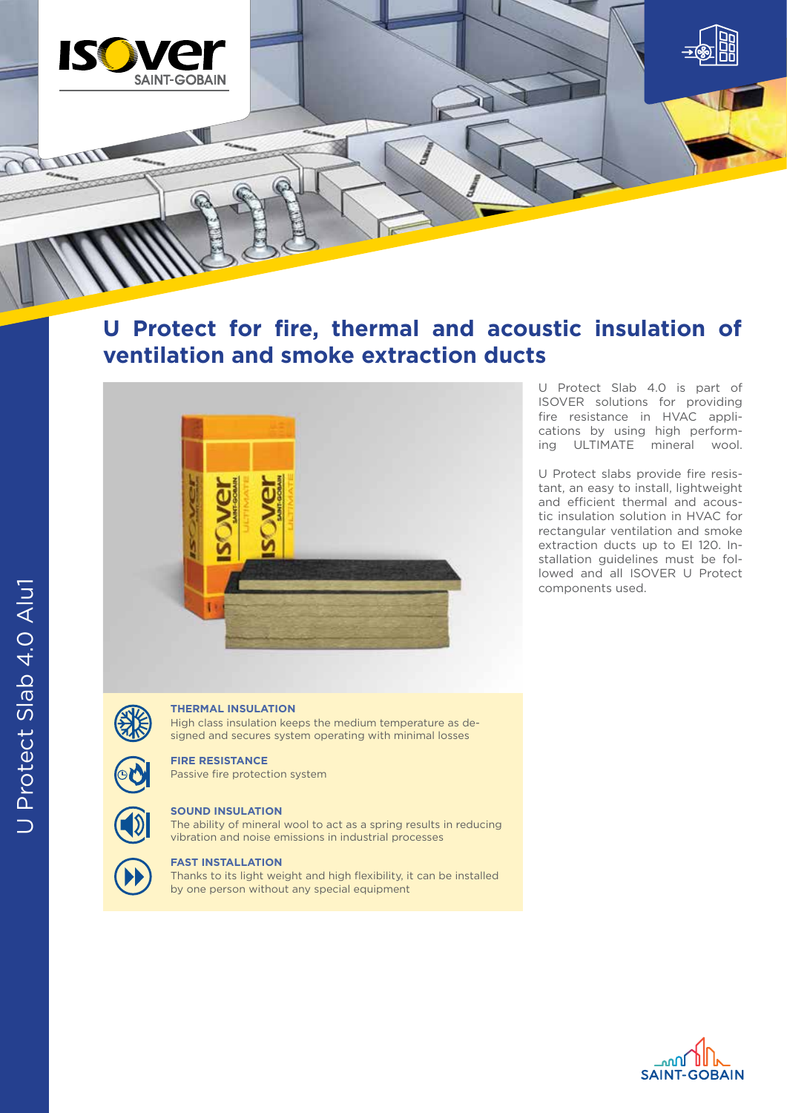

**U Protect for fire, thermal and acoustic insulation of ventilation and smoke extraction ducts**



U Protect Slab 4.0 is part of ISOVER solutions for providing fire resistance in HVAC applications by using high performing ULTIMATE mineral wool.

U Protect slabs provide fire resistant, an easy to install, lightweight and efficient thermal and acoustic insulation solution in HVAC for rectangular ventilation and smoke extraction ducts up to EI 120. Installation guidelines must be followed and all ISOVER U Protect components used.

## **THERMAL INSULATION**

High class insulation keeps the medium temperature as designed and secures system operating with minimal losses

## **FIRE RESISTANCE**

Passive fire protection system

# **SOUND INSULATION**

The ability of mineral wool to act as a spring results in reducing vibration and noise emissions in industrial processes



## **FAST INSTALLATION**

Thanks to its light weight and high flexibility, it can be installed by one person without any special equipment